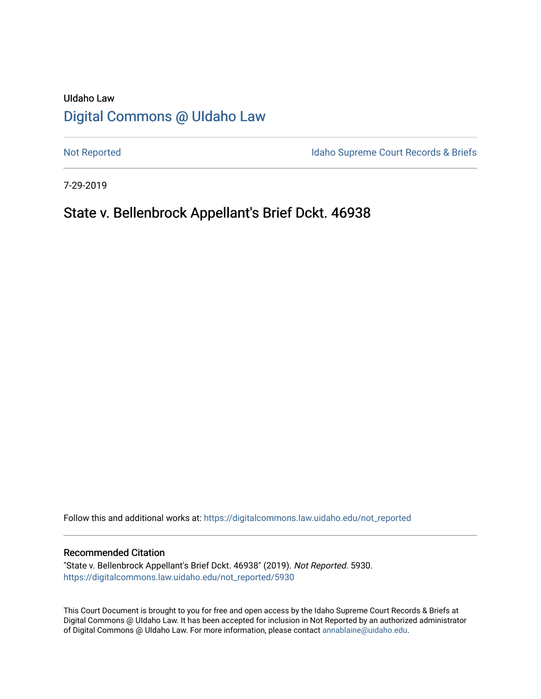# UIdaho Law [Digital Commons @ UIdaho Law](https://digitalcommons.law.uidaho.edu/)

[Not Reported](https://digitalcommons.law.uidaho.edu/not_reported) **Idaho Supreme Court Records & Briefs** 

7-29-2019

## State v. Bellenbrock Appellant's Brief Dckt. 46938

Follow this and additional works at: [https://digitalcommons.law.uidaho.edu/not\\_reported](https://digitalcommons.law.uidaho.edu/not_reported?utm_source=digitalcommons.law.uidaho.edu%2Fnot_reported%2F5930&utm_medium=PDF&utm_campaign=PDFCoverPages) 

#### Recommended Citation

"State v. Bellenbrock Appellant's Brief Dckt. 46938" (2019). Not Reported. 5930. [https://digitalcommons.law.uidaho.edu/not\\_reported/5930](https://digitalcommons.law.uidaho.edu/not_reported/5930?utm_source=digitalcommons.law.uidaho.edu%2Fnot_reported%2F5930&utm_medium=PDF&utm_campaign=PDFCoverPages)

This Court Document is brought to you for free and open access by the Idaho Supreme Court Records & Briefs at Digital Commons @ UIdaho Law. It has been accepted for inclusion in Not Reported by an authorized administrator of Digital Commons @ UIdaho Law. For more information, please contact [annablaine@uidaho.edu](mailto:annablaine@uidaho.edu).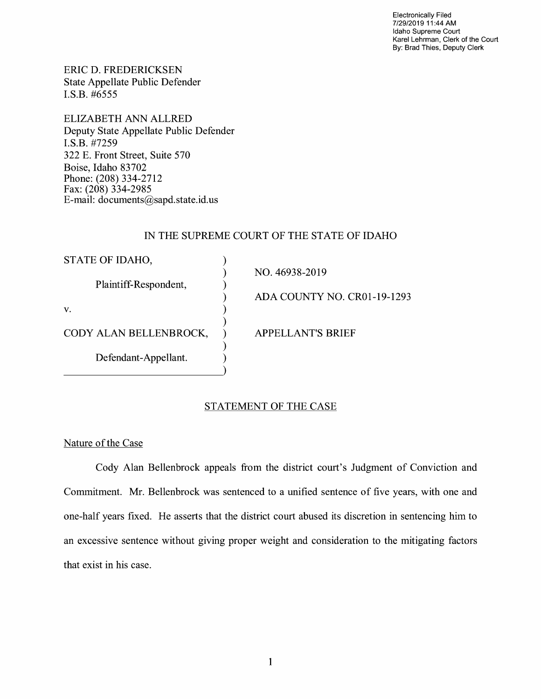Electronically Filed 7/29/2019 11 :44 AM Idaho Supreme Court Karel Lehrman, Clerk of the Court By: Brad Thies, Deputy Clerk

ERIC D. FREDERICKSEN State Appellate Public Defender I.S.B. #6555

ELIZABETH ANN ALLRED Deputy State Appellate Public Defender **I.S.B.** #7259 322 E. Front Street, Suite 570 Boise, Idaho 83702 Phone: (208) 334-2712 Fax: (208) 334-2985 E-mail: documents@sapd.state.id. us

## IN THE SUPREME COURT OF THE STATE OF IDAHO

| STATE OF IDAHO,        |                             |
|------------------------|-----------------------------|
|                        | NO. 46938-2019              |
| Plaintiff-Respondent,  |                             |
|                        | ADA COUNTY NO. CR01-19-1293 |
| V.                     |                             |
|                        |                             |
| CODY ALAN BELLENBROCK, | <b>APPELLANT'S BRIEF</b>    |
|                        |                             |
| Defendant-Appellant.   |                             |
|                        |                             |

## STATEMENT OF THE CASE

Nature of the Case

Cody Alan Bellenbrock appeals from the district court's Judgment of Conviction and Commitment. Mr. Bellenbrock was sentenced to a unified sentence of five years, with one and one-half years fixed. He asserts that the district court abused its discretion in sentencing him to an excessive sentence without giving proper weight and consideration to the mitigating factors that exist in his case.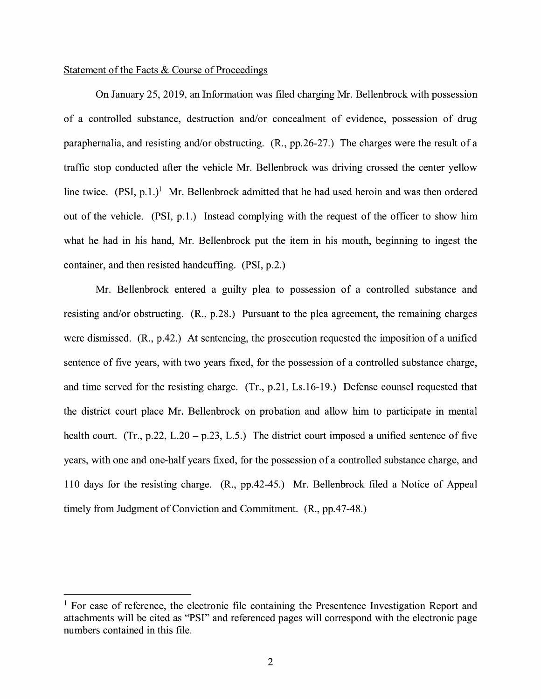### Statement of the Facts & Course of Proceedings

On January 25, 2019, an Information was filed charging Mr. Bellenbrock with possession of a controlled substance, destruction and/or concealment of evidence, possession of drug paraphernalia, and resisting and/or obstructing. (R., pp.26-27.) The charges were the result of a traffic stop conducted after the vehicle Mr. Bellenbrock was driving crossed the center yellow line twice.  $(PSI, p.1.)$ <sup>1</sup> Mr. Bellenbrock admitted that he had used heroin and was then ordered out of the vehicle. (PSI, p.1.) Instead complying with the request of the officer to show him what he had in his hand, Mr. Bellenbrock put the item in his mouth, beginning to ingest the container, and then resisted handcuffing. (PSI, p.2.)

Mr. Bellenbrock entered a guilty plea to possession of a controlled substance and resisting and/or obstructing. (R., p.28.) Pursuant to the plea agreement, the remaining charges were dismissed. (R., p.42.) At sentencing, the prosecution requested the imposition of a unified sentence of five years, with two years fixed, for the possession of a controlled substance charge, and time served for the resisting charge. (Tr., p.21, Ls.16-19.) Defense counsel requested that the district court place Mr. Bellenbrock on probation and allow him to participate in mental health court. (Tr., p.22, L.20 – p.23, L.5.) The district court imposed a unified sentence of five years, with one and one-half years fixed, for the possession of a controlled substance charge, and 110 days for the resisting charge. **(R.,** pp.42-45.) Mr. Bellenbrock filed a Notice of Appeal timely from Judgment of Conviction and Commitment. (R., pp.47-48.)

<sup>&</sup>lt;sup>1</sup> For ease of reference, the electronic file containing the Presentence Investigation Report and attachments will be cited as **"PSI"** and referenced pages will correspond with the electronic page numbers contained in this file.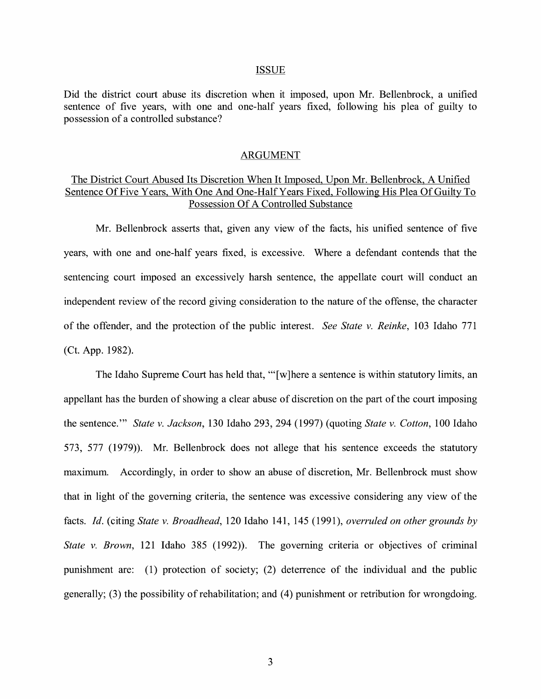#### ISSUE

Did the district court abuse its discretion when it imposed, upon Mr. Bellenbrock, a unified sentence of five years, with one and one-half years fixed, following his plea of guilty to possession of a controlled substance?

#### ARGUMENT

## The District Court Abused Its Discretion When It Imposed, Upon Mr. Bellenbrock, A Unified Sentence Of Five Years, With One And One-Half Years Fixed, Following His Plea Of Guilty To Possession Of A Controlled Substance

Mr. Bellenbrock asserts that, given any view of the facts, his unified sentence of five years, with one and one-half years fixed, is excessive. Where a defendant contends that the sentencing court imposed an excessively harsh sentence, the appellate court will conduct an independent review of the record giving consideration to the nature of the offense, the character of the offender, and the protection of the public interest. *See State v. Reinke,* 103 Idaho 771 (Ct. App. 1982).

The Idaho Supreme Court has held that, "'[w]here a sentence is within statutory limits, an appellant has the burden of showing a clear abuse of discretion on the part of the court imposing the sentence."' *State v. Jackson,* 130 Idaho 293, 294 (1997) (quoting *State v. Cotton,* 100 Idaho 573, 577 (1979)). Mr. Bellenbrock does not allege that his sentence exceeds the statutory maximum. Accordingly, in order to show an abuse of discretion, Mr. Bellenbrock must show that in light of the governing criteria, the sentence was excessive considering any view of the facts. *Id.* (citing *State v. Broadhead*, 120 Idaho 141, 145 (1991), *overruled on other grounds by State v. Brown,* 121 Idaho 385 (1992)). The governing criteria or objectives of criminal punishment are: (1) protection of society; (2) deterrence of the individual and the public generally; (3) the possibility of rehabilitation; and (4) punishment or retribution for wrongdoing.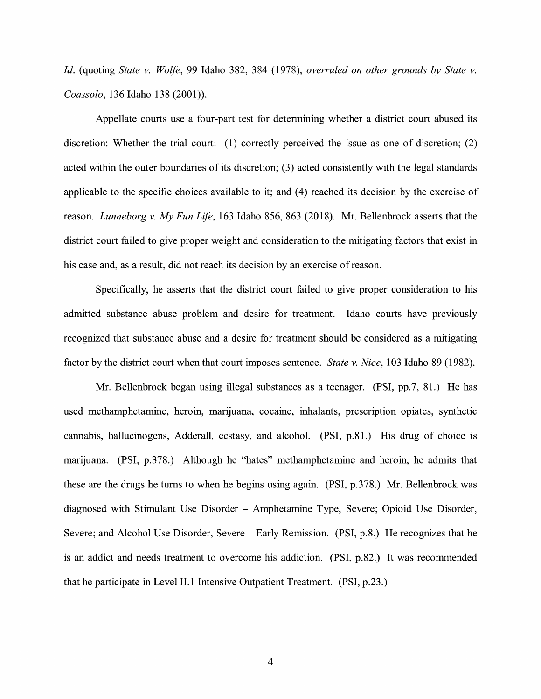*Id.* (quoting *State v. Wolfe,* 99 Idaho 382, 384 (1978), *overruled on other grounds by State v. Coassolo,* 136 Idaho 138 (2001)).

Appellate courts use a four-part test for determining whether a district court abused its discretion: Whether the trial court: (1) correctly perceived the issue as one of discretion; (2) acted within the outer boundaries of its discretion; (3) acted consistently with the legal standards applicable to the specific choices available to it; and (4) reached its decision by the exercise of reason. *Lunneborg v. My Fun Life,* 163 Idaho 856, 863 (2018). Mr. Bellenbrock asserts that the district court failed to give proper weight and consideration to the mitigating factors that exist in his case and, as a result, did not reach its decision by an exercise of reason.

Specifically, he asserts that the district court failed to give proper consideration to his admitted substance abuse problem and desire for treatment. Idaho courts have previously recognized that substance abuse and a desire for treatment should be considered as a mitigating factor by the district court when that court imposes sentence. *State v. Nice,* 103 Idaho 89 (1982).

Mr. Bellenbrock began using illegal substances as a teenager. **(PSI,** pp.7, 81.) He has used methamphetamine, heroin, marijuana, cocaine, inhalants, prescription opiates, synthetic cannabis, hallucinogens, Adderall, ecstasy, and alcohol. (PSI, p.81.) His drug of choice is marijuana. (PSI, p.378.) Although he "hates" methamphetamine and heroin, he admits that these are the drugs he turns to when he begins using again. (PSI, p.378.) Mr. Bellenbrock was diagnosed with Stimulant Use Disorder - Amphetamine Type, Severe; Opioid Use Disorder, Severe; and Alcohol Use Disorder, Severe – Early Remission. (PSI, p.8.) He recognizes that he is an addict and needs treatment to overcome his addiction. (PSI, p.82.) It was recommended that he participate in Level 11.1 Intensive Outpatient Treatment. (PSI, p.23.)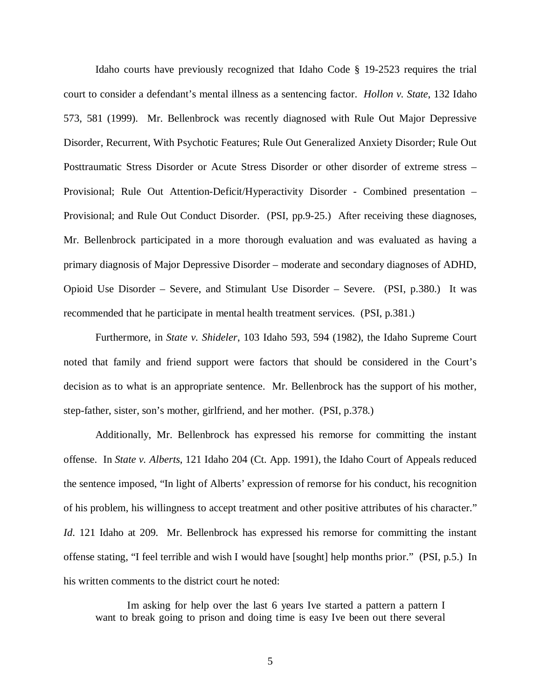Idaho courts have previously recognized that Idaho Code § 19-2523 requires the trial court to consider a defendant's mental illness as a sentencing factor. *Hollon v. State*, 132 Idaho 573, 581 (1999). Mr. Bellenbrock was recently diagnosed with Rule Out Major Depressive Disorder, Recurrent, With Psychotic Features; Rule Out Generalized Anxiety Disorder; Rule Out Posttraumatic Stress Disorder or Acute Stress Disorder or other disorder of extreme stress – Provisional; Rule Out Attention-Deficit/Hyperactivity Disorder - Combined presentation – Provisional; and Rule Out Conduct Disorder. (PSI, pp.9-25.) After receiving these diagnoses, Mr. Bellenbrock participated in a more thorough evaluation and was evaluated as having a primary diagnosis of Major Depressive Disorder – moderate and secondary diagnoses of ADHD, Opioid Use Disorder – Severe, and Stimulant Use Disorder – Severe. (PSI, p.380.) It was recommended that he participate in mental health treatment services. (PSI, p.381.)

Furthermore, in *State v. Shideler*, 103 Idaho 593, 594 (1982), the Idaho Supreme Court noted that family and friend support were factors that should be considered in the Court's decision as to what is an appropriate sentence. Mr. Bellenbrock has the support of his mother, step-father, sister, son's mother, girlfriend, and her mother. (PSI, p.378.)

Additionally, Mr. Bellenbrock has expressed his remorse for committing the instant offense. In *State v. Alberts*, 121 Idaho 204 (Ct. App. 1991), the Idaho Court of Appeals reduced the sentence imposed, "In light of Alberts' expression of remorse for his conduct, his recognition of his problem, his willingness to accept treatment and other positive attributes of his character." *Id.* 121 Idaho at 209. Mr. Bellenbrock has expressed his remorse for committing the instant offense stating, "I feel terrible and wish I would have [sought] help months prior." (PSI, p.5.) In his written comments to the district court he noted:

Im asking for help over the last 6 years Ive started a pattern a pattern I want to break going to prison and doing time is easy Ive been out there several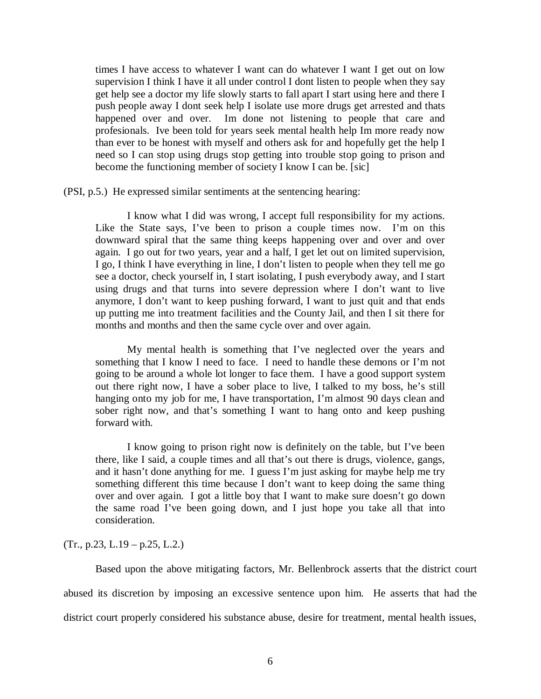times I have access to whatever I want can do whatever I want I get out on low supervision I think I have it all under control I dont listen to people when they say get help see a doctor my life slowly starts to fall apart I start using here and there I push people away I dont seek help I isolate use more drugs get arrested and thats happened over and over. Im done not listening to people that care and profesionals. Ive been told for years seek mental health help Im more ready now than ever to be honest with myself and others ask for and hopefully get the help I need so I can stop using drugs stop getting into trouble stop going to prison and become the functioning member of society I know I can be. [sic]

(PSI, p.5.) He expressed similar sentiments at the sentencing hearing:

I know what I did was wrong, I accept full responsibility for my actions. Like the State says, I've been to prison a couple times now. I'm on this downward spiral that the same thing keeps happening over and over and over again. I go out for two years, year and a half, I get let out on limited supervision, I go, I think I have everything in line, I don't listen to people when they tell me go see a doctor, check yourself in, I start isolating, I push everybody away, and I start using drugs and that turns into severe depression where I don't want to live anymore, I don't want to keep pushing forward, I want to just quit and that ends up putting me into treatment facilities and the County Jail, and then I sit there for months and months and then the same cycle over and over again.

My mental health is something that I've neglected over the years and something that I know I need to face. I need to handle these demons or I'm not going to be around a whole lot longer to face them. I have a good support system out there right now, I have a sober place to live, I talked to my boss, he's still hanging onto my job for me, I have transportation, I'm almost 90 days clean and sober right now, and that's something I want to hang onto and keep pushing forward with.

I know going to prison right now is definitely on the table, but I've been there, like I said, a couple times and all that's out there is drugs, violence, gangs, and it hasn't done anything for me. I guess I'm just asking for maybe help me try something different this time because I don't want to keep doing the same thing over and over again. I got a little boy that I want to make sure doesn't go down the same road I've been going down, and I just hope you take all that into consideration.

 $(Tr., p.23, L.19 - p.25, L.2.)$ 

Based upon the above mitigating factors, Mr. Bellenbrock asserts that the district court abused its discretion by imposing an excessive sentence upon him. He asserts that had the district court properly considered his substance abuse, desire for treatment, mental health issues,